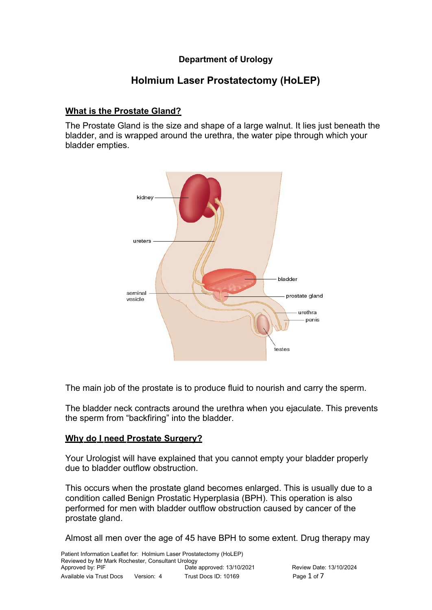### **Department of Urology**

### **Holmium Laser Prostatectomy (HoLEP)**

#### **What is the Prostate Gland?**

The Prostate Gland is the size and shape of a large walnut. It lies just beneath the bladder, and is wrapped around the urethra, the water pipe through which your bladder empties.



The main job of the prostate is to produce fluid to nourish and carry the sperm.

The bladder neck contracts around the urethra when you ejaculate. This prevents the sperm from "backfiring" into the bladder.

#### **Why do I need Prostate Surgery?**

Your Urologist will have explained that you cannot empty your bladder properly due to bladder outflow obstruction.

This occurs when the prostate gland becomes enlarged. This is usually due to a condition called Benign Prostatic Hyperplasia (BPH). This operation is also performed for men with bladder outflow obstruction caused by cancer of the prostate gland.

Almost all men over the age of 45 have BPH to some extent. Drug therapy may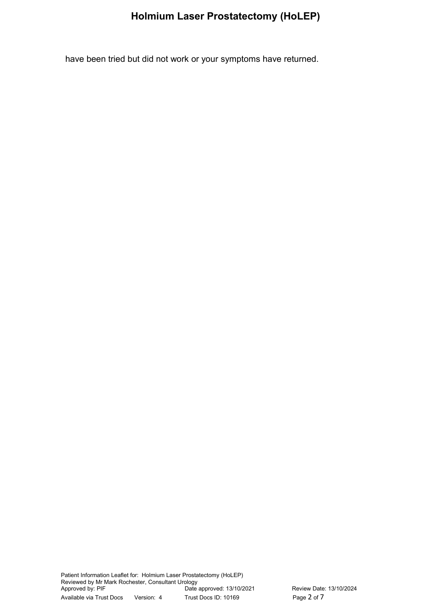have been tried but did not work or your symptoms have returned.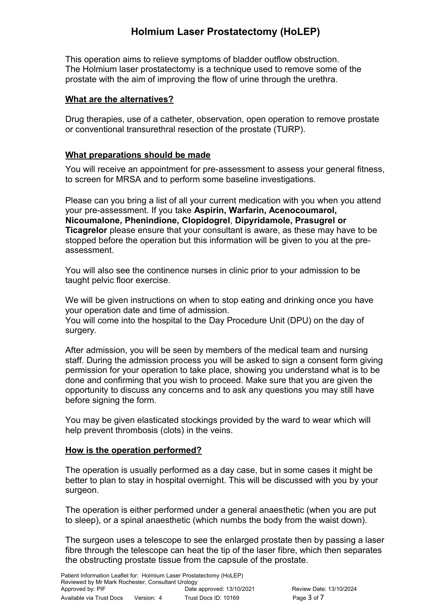This operation aims to relieve symptoms of bladder outflow obstruction. The Holmium laser prostatectomy is a technique used to remove some of the prostate with the aim of improving the flow of urine through the urethra.

#### **What are the alternatives?**

Drug therapies, use of a catheter, observation, open operation to remove prostate or conventional transurethral resection of the prostate (TURP).

### **What preparations should be made**

You will receive an appointment for pre-assessment to assess your general fitness, to screen for MRSA and to perform some baseline investigations.

Please can you bring a list of all your current medication with you when you attend your pre-assessment. If you take **Aspirin, Warfarin, Acenocoumarol, Nicoumalone, Phenindione, Clopidogrel**, **Dipyridamole, Prasugrel or Ticagrelor** please ensure that your consultant is aware, as these may have to be stopped before the operation but this information will be given to you at the preassessment.

You will also see the continence nurses in clinic prior to your admission to be taught pelvic floor exercise.

We will be given instructions on when to stop eating and drinking once you have your operation date and time of admission.

You will come into the hospital to the Day Procedure Unit (DPU) on the day of surgery.

After admission, you will be seen by members of the medical team and nursing staff. During the admission process you will be asked to sign a consent form giving permission for your operation to take place, showing you understand what is to be done and confirming that you wish to proceed. Make sure that you are given the opportunity to discuss any concerns and to ask any questions you may still have before signing the form.

You may be given elasticated stockings provided by the ward to wear which will help prevent thrombosis (clots) in the veins.

#### **How is the operation performed?**

The operation is usually performed as a day case, but in some cases it might be better to plan to stay in hospital overnight. This will be discussed with you by your surgeon.

The operation is either performed under a general anaesthetic (when you are put to sleep), or a spinal anaesthetic (which numbs the body from the waist down).

The surgeon uses a telescope to see the enlarged prostate then by passing a laser fibre through the telescope can heat the tip of the laser fibre, which then separates the obstructing prostate tissue from the capsule of the prostate.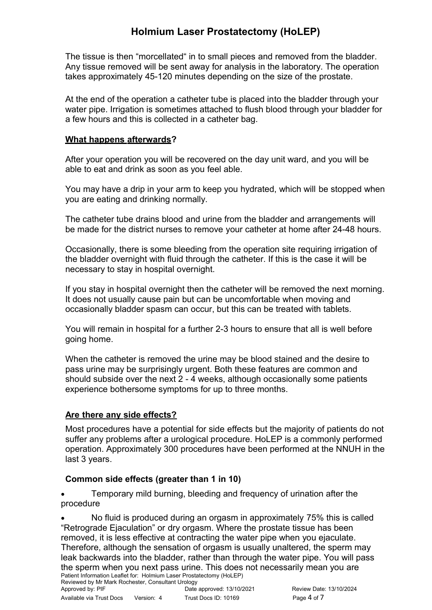The tissue is then "morcellated" in to small pieces and removed from the bladder. Any tissue removed will be sent away for analysis in the laboratory. The operation takes approximately 45-120 minutes depending on the size of the prostate.

At the end of the operation a catheter tube is placed into the bladder through your water pipe. Irrigation is sometimes attached to flush blood through your bladder for a few hours and this is collected in a catheter bag.

#### **What happens afterwards?**

After your operation you will be recovered on the day unit ward, and you will be able to eat and drink as soon as you feel able.

You may have a drip in your arm to keep you hydrated, which will be stopped when you are eating and drinking normally.

The catheter tube drains blood and urine from the bladder and arrangements will be made for the district nurses to remove your catheter at home after 24-48 hours.

Occasionally, there is some bleeding from the operation site requiring irrigation of the bladder overnight with fluid through the catheter. If this is the case it will be necessary to stay in hospital overnight.

If you stay in hospital overnight then the catheter will be removed the next morning. It does not usually cause pain but can be uncomfortable when moving and occasionally bladder spasm can occur, but this can be treated with tablets.

You will remain in hospital for a further 2-3 hours to ensure that all is well before going home.

When the catheter is removed the urine may be blood stained and the desire to pass urine may be surprisingly urgent. Both these features are common and should subside over the next 2 - 4 weeks, although occasionally some patients experience bothersome symptoms for up to three months.

#### Are there any side effects?

Most procedures have a potential for side effects but the majority of patients do not suffer any problems after a urological procedure. HoLEP is a commonly performed operation. Approximately 300 procedures have been performed at the NNUH in the last 3 years.

#### **Common side effects (greater than 1 in 10)**

 Temporary mild burning, bleeding and frequency of urination after the procedure

 No fluid is produced during an orgasm in approximately 75% this is called "Retrograde Ejaculation" or dry orgasm. Where the prostate tissue has been removed, it is less effective at contracting the water pipe when you ejaculate. Therefore, although the sensation of orgasm is usually unaltered, the sperm may leak backwards into the bladder, rather than through the water pipe. You will pass the sperm when you next pass urine. This does not necessarily mean you are Patient Information Leaflet for: Holmium Laser Prostatectomy (HoLEP)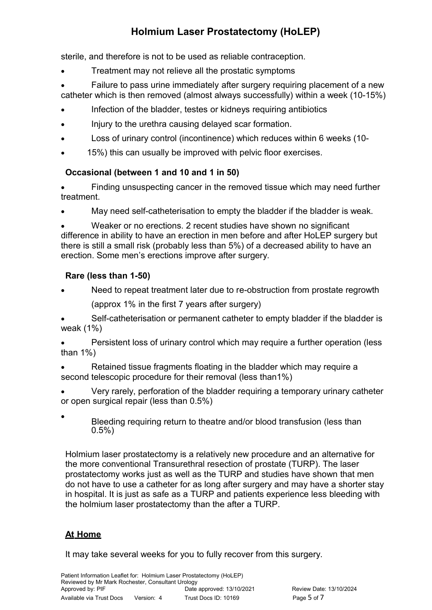sterile, and therefore is not to be used as reliable contraception.

- Treatment may not relieve all the prostatic symptoms
- Failure to pass urine immediately after surgery requiring placement of a new catheter which is then removed (almost always successfully) within a week (10-15%)
- Infection of the bladder, testes or kidneys requiring antibiotics
- Injury to the urethra causing delayed scar formation.
- Loss of urinary control (incontinence) which reduces within 6 weeks (10-
- 15%) this can usually be improved with pelvic floor exercises.

### **Occasional (between 1 and 10 and 1 in 50)**

 Finding unsuspecting cancer in the removed tissue which may need further treatment.

May need self-catheterisation to empty the bladder if the bladder is weak.

 Weaker or no erections. 2 recent studies have shown no significant difference in ability to have an erection in men before and after HoLEP surgery but there is still a small risk (probably less than 5%) of a decreased ability to have an erection. Some men's erections improve after surgery.

### **Rare (less than 1-50)**

- Need to repeat treatment later due to re-obstruction from prostate regrowth
	- (approx 1% in the first 7 years after surgery)

 Self-catheterisation or permanent catheter to empty bladder if the bladder is weak (1%)

 Persistent loss of urinary control which may require a further operation (less than 1%)

 Retained tissue fragments floating in the bladder which may require a second telescopic procedure for their removal (less than1%)

 Very rarely, perforation of the bladder requiring a temporary urinary catheter or open surgical repair (less than 0.5%)

Bleeding requiring return to theatre and/or blood transfusion (less than 0.5%)

Holmium laser prostatectomy is a relatively new procedure and an alternative for the more conventional Transurethral resection of prostate (TURP). The laser prostatectomy works just as well as the TURP and studies have shown that men do not have to use a catheter for as long after surgery and may have a shorter stay in hospital. It is just as safe as a TURP and patients experience less bleeding with the holmium laser prostatectomy than the after a TURP.

### **At Home**

 $\bullet$ 

It may take several weeks for you to fully recover from this surgery.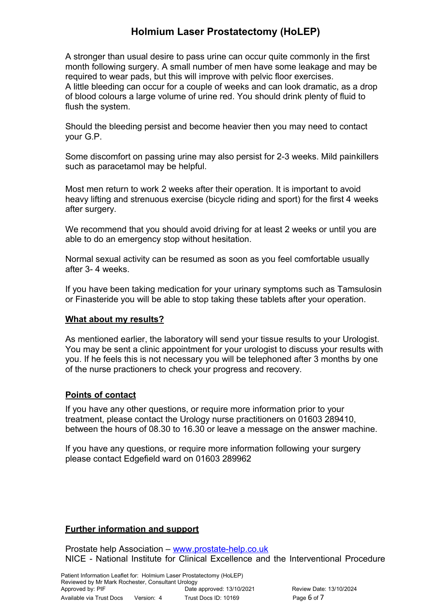A stronger than usual desire to pass urine can occur quite commonly in the first month following surgery. A small number of men have some leakage and may be required to wear pads, but this will improve with pelvic floor exercises. A little bleeding can occur for a couple of weeks and can look dramatic, as a drop of blood colours a large volume of urine red. You should drink plenty of fluid to flush the system.

Should the bleeding persist and become heavier then you may need to contact your G.P.

Some discomfort on passing urine may also persist for 2-3 weeks. Mild painkillers such as paracetamol may be helpful.

Most men return to work 2 weeks after their operation. It is important to avoid heavy lifting and strenuous exercise (bicycle riding and sport) for the first 4 weeks after surgery.

We recommend that you should avoid driving for at least 2 weeks or until you are able to do an emergency stop without hesitation.

Normal sexual activity can be resumed as soon as you feel comfortable usually after 3- 4 weeks.

If you have been taking medication for your urinary symptoms such as Tamsulosin or Finasteride you will be able to stop taking these tablets after your operation.

#### **What about my results?**

As mentioned earlier, the laboratory will send your tissue results to your Urologist. You may be sent a clinic appointment for your urologist to discuss your results with you. If he feels this is not necessary you will be telephoned after 3 months by one of the nurse practioners to check your progress and recovery.

#### **Points of contact**

If you have any other questions, or require more information prior to your treatment, please contact the Urology nurse practitioners on 01603 289410, between the hours of 08.30 to 16.30 or leave a message on the answer machine.

If you have any questions, or require more information following your surgery please contact Edgefield ward on 01603 289962

#### **Further information and support**

Prostate help Association – [www. prostate-help.co.uk](http://www.prostate-help.co.uk/) NICE - National Institute for Clinical Excellence and the Interventional Procedure